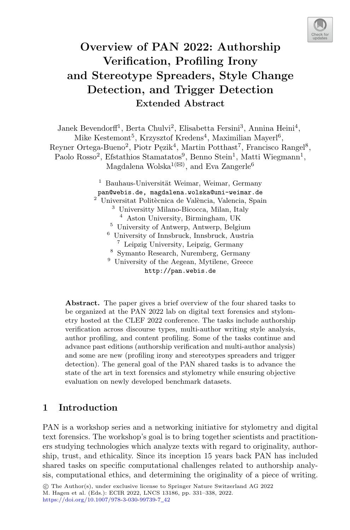

# **Overview of PAN 2022: Authorship Verification, Profiling Irony and Stereotype Spreaders, Style Change Detection, and Trigger Detection Extended Abstract**

Janek Bevendorff<sup>1</sup>, Berta Chulvi<sup>2</sup>, Elisabetta Fersini<sup>3</sup>, Annina Heini<sup>4</sup>, Mike Kestemont<sup>5</sup>, Krzysztof Kredens<sup>4</sup>, Maximilian Mayerl<sup>6</sup>, Reyner Ortega-Bueno<sup>2</sup>, Piotr Pezik<sup>4</sup>, Martin Potthast<sup>7</sup>, Francisco Rangel<sup>8</sup>, Paolo Rosso<sup>2</sup>, Efstathios Stamatatos<sup>9</sup>, Benno Stein<sup>1</sup>, Matti Wiegmann<sup>1</sup>,  $M$ agdalena Wolska<sup>1( $\boxtimes$ )</sup>, and Eva Zangerle<sup>6</sup>

> Bauhaus-Universität Weimar, Weimar, Germany pan@webis.de, magdalena.wolska@uni-weimar.de 2 Universitat Politècnica de València, Valencia, Spain Universitty Milano-Bicocca, Milan, Italy Aston University, Birmingham, UK University of Antwerp, Antwerp, Belgium University of Innsbruck, Innsbruck, Austria Leipzig University, Leipzig, Germany Symanto Research, Nuremberg, Germany <sup>9</sup> University of the Aegean, Mytilene, Greece http://pan.webis.de

**Abstract.** The paper gives a brief overview of the four shared tasks to be organized at the PAN 2022 lab on digital text forensics and stylometry hosted at the CLEF 2022 conference. The tasks include authorship verification across discourse types, multi-author writing style analysis, author profiling, and content profiling. Some of the tasks continue and advance past editions (authorship verification and multi-author analysis) and some are new (profiling irony and stereotypes spreaders and trigger detection). The general goal of the PAN shared tasks is to advance the state of the art in text forensics and stylometry while ensuring objective evaluation on newly developed benchmark datasets.

### **1 Introduction**

PAN is a workshop series and a networking initiative for stylometry and digital text forensics. The workshop's goal is to bring together scientists and practitioners studying technologies which analyze texts with regard to originality, authorship, trust, and ethicality. Since its inception 15 years back PAN has included shared tasks on specific computational challenges related to authorship analysis, computational ethics, and determining the originality of a piece of writing.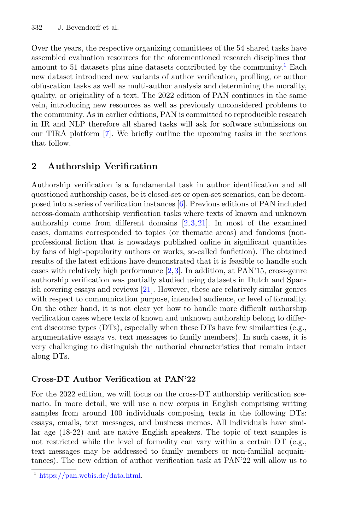Over the years, the respective organizing committees of the 54 shared tasks have assembled evaluation resources for the aforementioned research disciplines that amount to 5[1](#page-1-0) datasets plus nine datasets contributed by the community.<sup>1</sup> Each new dataset introduced new variants of author verification, profiling, or author obfuscation tasks as well as multi-author analysis and determining the morality, quality, or originality of a text. The 2022 edition of PAN continues in the same vein, introducing new resources as well as previously unconsidered problems to the community. As in earlier editions, PAN is committed to reproducible research in IR and NLP therefore all shared tasks will ask for software submissions on our TIRA platform [\[7](#page-5-0)]. We briefly outline the upcoming tasks in the sections that follow.

## **2 Authorship Verification**

Authorship verification is a fundamental task in author identification and all questioned authorship cases, be it closed-set or open-set scenarios, can be decomposed into a series of verification instances [\[6](#page-5-1)]. Previous editions of PAN included across-domain authorship verification tasks where texts of known and unknown authorship come from different domains  $[2,3,21]$  $[2,3,21]$  $[2,3,21]$  $[2,3,21]$  $[2,3,21]$ . In most of the examined cases, domains corresponded to topics (or thematic areas) and fandoms (nonprofessional fiction that is nowadays published online in significant quantities by fans of high-popularity authors or works, so-called fanfiction). The obtained results of the latest editions have demonstrated that it is feasible to handle such cases with relatively high performance  $[2,3]$  $[2,3]$  $[2,3]$ . In addition, at PAN'15, cross-genre authorship verification was partially studied using datasets in Dutch and Spanish covering essays and reviews [\[21](#page-6-0)]. However, these are relatively similar genres with respect to communication purpose, intended audience, or level of formality. On the other hand, it is not clear yet how to handle more difficult authorship verification cases where texts of known and unknown authorship belong to different discourse types (DTs), especially when these DTs have few similarities (e.g., argumentative essays vs. text messages to family members). In such cases, it is very challenging to distinguish the authorial characteristics that remain intact along DTs.

#### **Cross-DT Author Verification at PAN'22**

For the 2022 edition, we will focus on the cross-DT authorship verification scenario. In more detail, we will use a new corpus in English comprising writing samples from around 100 individuals composing texts in the following DTs: essays, emails, text messages, and business memos. All individuals have similar age (18-22) and are native English speakers. The topic of text samples is not restricted while the level of formality can vary within a certain DT (e.g., text messages may be addressed to family members or non-familial acquaintances). The new edition of author verification task at PAN'22 will allow us to

<span id="page-1-0"></span><sup>1</sup> [https://pan.webis.de/data.html.](https://pan.webis.de/data.html)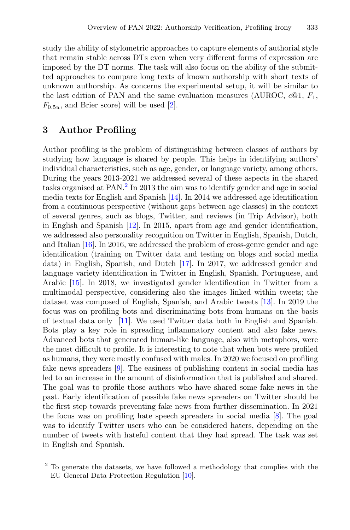study the ability of stylometric approaches to capture elements of authorial style that remain stable across DTs even when very different forms of expression are imposed by the DT norms. The task will also focus on the ability of the submitted approaches to compare long texts of known authorship with short texts of unknown authorship. As concerns the experimental setup, it will be similar to the last edition of PAN and the same evaluation measures (AUROC,  $c@1$ ,  $F_1$ ,  $F_{0.5u}$ , and Brier score) will be used [\[2](#page-5-2)].

### **3 Author Profiling**

Author profiling is the problem of distinguishing between classes of authors by studying how language is shared by people. This helps in identifying authors' individual characteristics, such as age, gender, or language variety, among others. During the years 2013-2021 we addressed several of these aspects in the shared tasks organised at PAN.<sup>[2](#page-2-0)</sup> In 2013 the aim was to identify gender and age in social media texts for English and Spanish [\[14\]](#page-6-1). In 2014 we addressed age identification from a continuous perspective (without gaps between age classes) in the context of several genres, such as blogs, Twitter, and reviews (in Trip Advisor), both in English and Spanish [\[12](#page-6-2)]. In 2015, apart from age and gender identification, we addressed also personality recognition on Twitter in English, Spanish, Dutch, and Italian [\[16\]](#page-6-3). In 2016, we addressed the problem of cross-genre gender and age identification (training on Twitter data and testing on blogs and social media data) in English, Spanish, and Dutch [\[17\]](#page-6-4). In 2017, we addressed gender and language variety identification in Twitter in English, Spanish, Portuguese, and Arabic [\[15](#page-6-5)]. In 2018, we investigated gender identification in Twitter from a multimodal perspective, considering also the images linked within tweets; the dataset was composed of English, Spanish, and Arabic tweets [\[13](#page-6-6)]. In 2019 the focus was on profiling bots and discriminating bots from humans on the basis of textual data only [\[11](#page-6-7)]. We used Twitter data both in English and Spanish. Bots play a key role in spreading inflammatory content and also fake news. Advanced bots that generated human-like language, also with metaphors, were the most difficult to profile. It is interesting to note that when bots were profiled as humans, they were mostly confused with males. In 2020 we focused on profiling fake news spreaders [\[9\]](#page-6-8). The easiness of publishing content in social media has led to an increase in the amount of disinformation that is published and shared. The goal was to profile those authors who have shared some fake news in the past. Early identification of possible fake news spreaders on Twitter should be the first step towards preventing fake news from further dissemination. In 2021 the focus was on profiling hate speech spreaders in social media [\[8\]](#page-6-9). The goal was to identify Twitter users who can be considered haters, depending on the number of tweets with hateful content that they had spread. The task was set in English and Spanish.

<span id="page-2-0"></span> $2$  To generate the datasets, we have followed a methodology that complies with the EU General Data Protection Regulation [\[10\]](#page-6-10).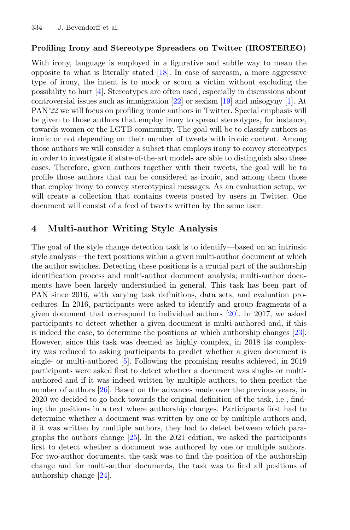#### **Profiling Irony and Stereotype Spreaders on Twitter (IROSTEREO)**

With irony, language is employed in a figurative and subtle way to mean the opposite to what is literally stated [\[18\]](#page-6-11). In case of sarcasm, a more aggressive type of irony, the intent is to mock or scorn a victim without excluding the possibility to hurt [\[4](#page-5-4)]. Stereotypes are often used, especially in discussions about controversial issues such as immigration [\[22\]](#page-6-12) or sexism [\[19](#page-6-13)] and misogyny [\[1\]](#page-5-5). At PAN'22 we will focus on profiling ironic authors in Twitter. Special emphasis will be given to those authors that employ irony to spread stereotypes, for instance, towards women or the LGTB community. The goal will be to classify authors as ironic or not depending on their number of tweets with ironic content. Among those authors we will consider a subset that employs irony to convey stereotypes in order to investigate if state-of-the-art models are able to distinguish also these cases. Therefore, given authors together with their tweets, the goal will be to profile those authors that can be considered as ironic, and among them those that employ irony to convey stereotypical messages. As an evaluation setup, we will create a collection that contains tweets posted by users in Twitter. One document will consist of a feed of tweets written by the same user.

#### **4 Multi-author Writing Style Analysis**

The goal of the style change detection task is to identify—based on an intrinsic style analysis—the text positions within a given multi-author document at which the author switches. Detecting these positions is a crucial part of the authorship identification process and multi-author document analysis; multi-author documents have been largely understudied in general. This task has been part of PAN since 2016, with varying task definitions, data sets, and evaluation procedures. In 2016, participants were asked to identify and group fragments of a given document that correspond to individual authors [\[20](#page-6-14)]. In 2017, we asked participants to detect whether a given document is multi-authored and, if this is indeed the case, to determine the positions at which authorship changes [\[23\]](#page-6-15). However, since this task was deemed as highly complex, in 2018 its complexity was reduced to asking participants to predict whether a given document is single- or multi-authored [\[5\]](#page-5-6). Following the promising results achieved, in 2019 participants were asked first to detect whether a document was single- or multiauthored and if it was indeed written by multiple authors, to then predict the number of authors [\[26](#page-7-0)]. Based on the advances made over the previous years, in 2020 we decided to go back towards the original definition of the task, i.e., finding the positions in a text where authorship changes. Participants first had to determine whether a document was written by one or by multiple authors and, if it was written by multiple authors, they had to detect between which paragraphs the authors change [\[25\]](#page-7-1). In the 2021 edition, we asked the participants first to detect whether a document was authored by one or multiple authors. For two-author documents, the task was to find the position of the authorship change and for multi-author documents, the task was to find all positions of authorship change [\[24\]](#page-7-2).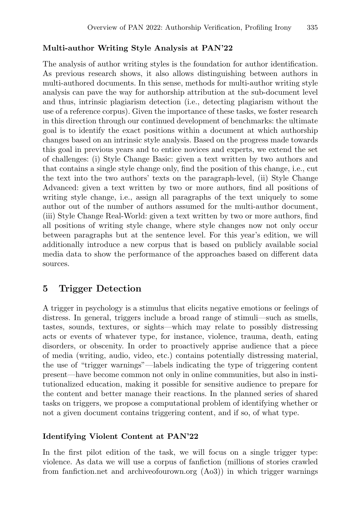#### **Multi-author Writing Style Analysis at PAN'22**

The analysis of author writing styles is the foundation for author identification. As previous research shows, it also allows distinguishing between authors in multi-authored documents. In this sense, methods for multi-author writing style analysis can pave the way for authorship attribution at the sub-document level and thus, intrinsic plagiarism detection (i.e., detecting plagiarism without the use of a reference corpus). Given the importance of these tasks, we foster research in this direction through our continued development of benchmarks: the ultimate goal is to identify the exact positions within a document at which authorship changes based on an intrinsic style analysis. Based on the progress made towards this goal in previous years and to entice novices and experts, we extend the set of challenges: (i) Style Change Basic: given a text written by two authors and that contains a single style change only, find the position of this change, i.e., cut the text into the two authors' texts on the paragraph-level, (ii) Style Change Advanced: given a text written by two or more authors, find all positions of writing style change, i.e., assign all paragraphs of the text uniquely to some author out of the number of authors assumed for the multi-author document, (iii) Style Change Real-World: given a text written by two or more authors, find all positions of writing style change, where style changes now not only occur between paragraphs but at the sentence level. For this year's edition, we will additionally introduce a new corpus that is based on publicly available social media data to show the performance of the approaches based on different data sources.

### **5 Trigger Detection**

A trigger in psychology is a stimulus that elicits negative emotions or feelings of distress. In general, triggers include a broad range of stimuli—such as smells, tastes, sounds, textures, or sights—which may relate to possibly distressing acts or events of whatever type, for instance, violence, trauma, death, eating disorders, or obscenity. In order to proactively apprise audience that a piece of media (writing, audio, video, etc.) contains potentially distressing material, the use of "trigger warnings"—labels indicating the type of triggering content present—have become common not only in online communities, but also in institutionalized education, making it possible for sensitive audience to prepare for the content and better manage their reactions. In the planned series of shared tasks on triggers, we propose a computational problem of identifying whether or not a given document contains triggering content, and if so, of what type.

#### **Identifying Violent Content at PAN'22**

In the first pilot edition of the task, we will focus on a single trigger type: violence. As data we will use a corpus of fanfiction (millions of stories crawled from fanfiction.net and archiveofourown.org (Ao3)) in which trigger warnings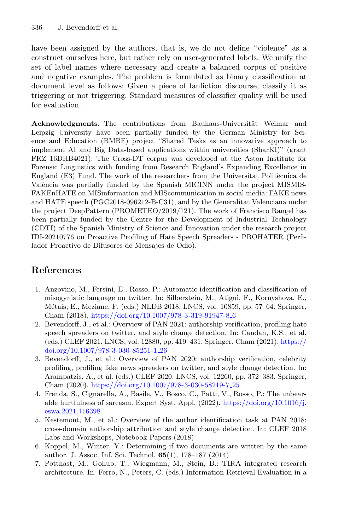have been assigned by the authors, that is, we do not define "violence" as a construct ourselves here, but rather rely on user-generated labels. We unify the set of label names where necessary and create a balanced corpus of positive and negative examples. The problem is formulated as binary classification at document level as follows: Given a piece of fanfiction discourse, classify it as triggering or not triggering. Standard measures of classifier quality will be used for evaluation.

**Acknowledgments.** The contributions from Bauhaus-Universität Weimar and Leipzig University have been partially funded by the German Ministry for Science and Education (BMBF) project "Shared Tasks as an innovative approach to implement AI and Big Data-based applications within universities (SharKI)" (grant FKZ 16DHB4021). The Cross-DT corpus was developed at the Aston Institute for Forensic Linguistics with funding from Research England's Expanding Excellence in England (E3) Fund. The work of the researchers from the Universitat Politecnica de València was partially funded by the Spanish MICINN under the project MISMIS-FAKEnHATE on MISinformation and MIScommunication in social media: FAKE news and HATE speech (PGC2018-096212-B-C31), and by the Generalitat Valenciana under the project DeepPattern (PROMETEO/2019/121). The work of Francisco Rangel has been partially funded by the Centre for the Development of Industrial Technology (CDTI) of the Spanish Ministry of Science and Innovation under the research project IDI-20210776 on Proactive Profiling of Hate Speech Spreaders - PROHATER (Perfilador Proactivo de Difusores de Mensajes de Odio).

# **References**

- <span id="page-5-5"></span>1. Anzovino, M., Fersini, E., Rosso, P.: Automatic identification and classification of misogynistic language on twitter. In: Silberztein, M., Atigui, F., Kornyshova, E., M´etais, E., Meziane, F. (eds.) NLDB 2018. LNCS, vol. 10859, pp. 57–64. Springer, Cham (2018). [https://doi.org/10.1007/978-3-319-91947-8](https://doi.org/10.1007/978-3-319-91947-8_6) 6
- <span id="page-5-2"></span>2. Bevendorff, J., et al.: Overview of PAN 2021: authorship verification, profiling hate speech spreaders on twitter, and style change detection. In: Candan, K.S., et al. (eds.) CLEF 2021. LNCS, vol. 12880, pp. 419–431. Springer, Cham (2021). [https://](https://doi.org/10.1007/978-3-030-85251-1_26) [doi.org/10.1007/978-3-030-85251-1](https://doi.org/10.1007/978-3-030-85251-1_26) 26
- <span id="page-5-3"></span>3. Bevendorff, J., et al.: Overview of PAN 2020: authorship verification, celebrity profiling, profiling fake news spreaders on twitter, and style change detection. In: Arampatzis, A., et al. (eds.) CLEF 2020. LNCS, vol. 12260, pp. 372–383. Springer, Cham (2020). [https://doi.org/10.1007/978-3-030-58219-7](https://doi.org/10.1007/978-3-030-58219-7_25) 25
- <span id="page-5-4"></span>4. Frenda, S., Cignarella, A., Basile, V., Bosco, C., Patti, V., Rosso, P.: The unbearable hurtfulness of sarcasm. Expert Syst. Appl. (2022). [https://doi.org/10.1016/j.](https://doi.org/10.1016/j.eswa.2021.116398) [eswa.2021.116398](https://doi.org/10.1016/j.eswa.2021.116398)
- <span id="page-5-6"></span>5. Kestemont, M., et al.: Overview of the author identification task at PAN 2018: cross-domain authorship attribution and style change detection. In: CLEF 2018 Labs and Workshops, Notebook Papers (2018)
- <span id="page-5-1"></span>6. Koppel, M., Winter, Y.: Determining if two documents are written by the same author. J. Assoc. Inf. Sci. Technol. **65**(1), 178–187 (2014)
- <span id="page-5-0"></span>7. Potthast, M., Gollub, T., Wiegmann, M., Stein, B.: TIRA integrated research architecture. In: Ferro, N., Peters, C. (eds.) Information Retrieval Evaluation in a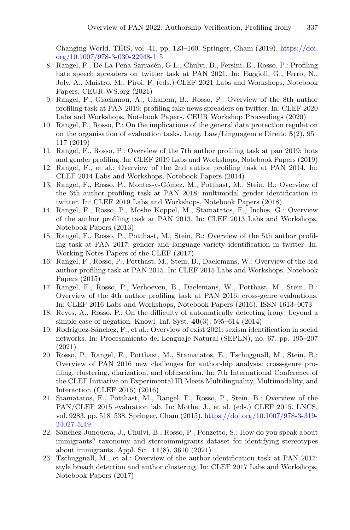Changing World. TIRS, vol. 41, pp. 123–160. Springer, Cham (2019). [https://doi.](https://doi.org/10.1007/978-3-030-22948-1_5) [org/10.1007/978-3-030-22948-1](https://doi.org/10.1007/978-3-030-22948-1_5) 5

- <span id="page-6-9"></span>8. Rangel, F., De-La-Peña-Sarracén, G.L., Chulvi, B., Fersini, E., Rosso, P.: Profiling hate speech spreaders on twitter task at PAN 2021. In: Faggioli, G., Ferro, N., Joly, A., Maistro, M., Piroi, F. (eds.) CLEF 2021 Labs and Workshops, Notebook Papers, CEUR-WS.org (2021)
- <span id="page-6-8"></span>9. Rangel, F., Giachanou, A., Ghanem, B., Rosso, P.: Overview of the 8th author profiling task at PAN 2019: profiling fake news spreaders on twitter. In: CLEF 2020 Labs and Workshops, Notebook Papers. CEUR Workshop Proceedings (2020)
- <span id="page-6-10"></span>10. Rangel, F., Rosso, P.: On the implications of the general data protection regulation on the organisation of evaluation tasks. Lang. Law/Linguagem e Direito **5**(2), 95– 117 (2019)
- <span id="page-6-7"></span>11. Rangel, F., Rosso, P.: Overview of the 7th author profiling task at pan 2019: bots and gender profiling. In: CLEF 2019 Labs and Workshops, Notebook Papers (2019)
- <span id="page-6-2"></span>12. Rangel, F., et al.: Overview of the 2nd author profiling task at PAN 2014. In: CLEF 2014 Labs and Workshops, Notebook Papers (2014)
- <span id="page-6-6"></span>13. Rangel, F., Rosso, P., Montes-y-G´omez, M., Potthast, M., Stein, B.: Overview of the 6th author profiling task at PAN 2018: multimodal gender identification in twitter. In: CLEF 2019 Labs and Workshops, Notebook Papers (2018)
- <span id="page-6-1"></span>14. Rangel, F., Rosso, P., Moshe Koppel, M., Stamatatos, E., Inches, G.: Overview of the author profiling task at PAN 2013. In: CLEF 2013 Labs and Workshops, Notebook Papers (2013)
- <span id="page-6-5"></span>15. Rangel, F., Rosso, P., Potthast, M., Stein, B.: Overview of the 5th author profiling task at PAN 2017: gender and language variety identification in twitter. In: Working Notes Papers of the CLEF (2017)
- <span id="page-6-3"></span>16. Rangel, F., Rosso, P., Potthast, M., Stein, B., Daelemans, W.: Overview of the 3rd author profiling task at PAN 2015. In: CLEF 2015 Labs and Workshops, Notebook Papers (2015)
- <span id="page-6-4"></span>17. Rangel, F., Rosso, P., Verhoeven, B., Daelemans, W., Potthast, M., Stein, B.: Overview of the 4th author profiling task at PAN 2016: cross-genre evaluations. In: CLEF 2016 Labs and Workshops, Notebook Papers (2016). ISSN 1613–0073
- <span id="page-6-11"></span>18. Reyes, A., Rosso, P.: On the difficulty of automatically detecting irony: beyond a simple case of negation. Knowl. Inf. Syst. **40**(3), 595–614 (2014)
- <span id="page-6-13"></span>19. Rodríguez-Sánchez, F., et al.: Overview of exist 2021: sexism identification in social networks. In: Procesamiento del Lenguaje Natural (SEPLN), no. 67, pp. 195–207 (2021)
- <span id="page-6-14"></span>20. Rosso, P., Rangel, F., Potthast, M., Stamatatos, E., Tschuggnall, M., Stein, B.: Overview of PAN 2016–new challenges for authorship analysis: cross-genre profiling, clustering, diarization, and obfuscation. In: 7th International Conference of the CLEF Initiative on Experimental IR Meets Multilinguality, Multimodality, and Interaction (CLEF 2016) (2016)
- <span id="page-6-0"></span>21. Stamatatos, E., Potthast, M., Rangel, F., Rosso, P., Stein, B.: Overview of the PAN/CLEF 2015 evaluation lab. In: Mothe, J., et al. (eds.) CLEF 2015. LNCS, vol. 9283, pp. 518–538. Springer, Cham (2015). [https://doi.org/10.1007/978-3-319-](https://doi.org/10.1007/978-3-319-24027-5_49) [24027-5](https://doi.org/10.1007/978-3-319-24027-5_49) 49
- <span id="page-6-12"></span>22. S´anchez-Junquera, J., Chulvi, B., Rosso, P., Ponzetto, S.: How do you speak about immigrants? taxonomy and stereoimmigrants dataset for identifying stereotypes about immigrants. Appl. Sci. **11**(8), 3610 (2021)
- <span id="page-6-15"></span>23. Tschuggnall, M., et al.: Overview of the author identification task at PAN 2017: style breach detection and author clustering. In: CLEF 2017 Labs and Workshops, Notebook Papers (2017)